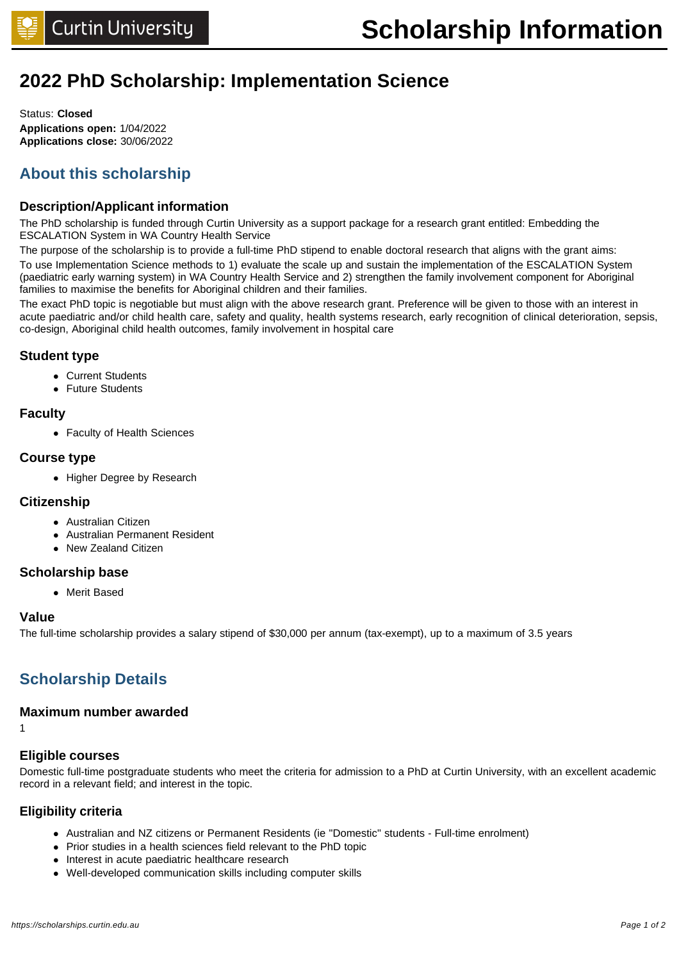# **2022 PhD Scholarship: Implementation Science**

Status: **Closed Applications open:** 1/04/2022 **Applications close:** 30/06/2022

# **About this scholarship**

### **Description/Applicant information**

The PhD scholarship is funded through Curtin University as a support package for a research grant entitled: Embedding the ESCALATION System in WA Country Health Service

The purpose of the scholarship is to provide a full-time PhD stipend to enable doctoral research that aligns with the grant aims: To use Implementation Science methods to 1) evaluate the scale up and sustain the implementation of the ESCALATION System (paediatric early warning system) in WA Country Health Service and 2) strengthen the family involvement component for Aboriginal families to maximise the benefits for Aboriginal children and their families.

The exact PhD topic is negotiable but must align with the above research grant. Preference will be given to those with an interest in acute paediatric and/or child health care, safety and quality, health systems research, early recognition of clinical deterioration, sepsis, co-design, Aboriginal child health outcomes, family involvement in hospital care

### **Student type**

- Current Students
- **•** Future Students

### **Faculty**

• Faculty of Health Sciences

### **Course type**

• Higher Degree by Research

### **Citizenship**

- Australian Citizen
- **Australian Permanent Resident**
- New Zealand Citizen

### **Scholarship base**

• Merit Based

### **Value**

The full-time scholarship provides a salary stipend of \$30,000 per annum (tax-exempt), up to a maximum of 3.5 years

# **Scholarship Details**

### **Maximum number awarded**

1

### **Eligible courses**

Domestic full-time postgraduate students who meet the criteria for admission to a PhD at Curtin University, with an excellent academic record in a relevant field; and interest in the topic.

### **Eligibility criteria**

- Australian and NZ citizens or Permanent Residents (ie "Domestic" students Full-time enrolment)
- Prior studies in a health sciences field relevant to the PhD topic
- Interest in acute paediatric healthcare research
- Well-developed communication skills including computer skills